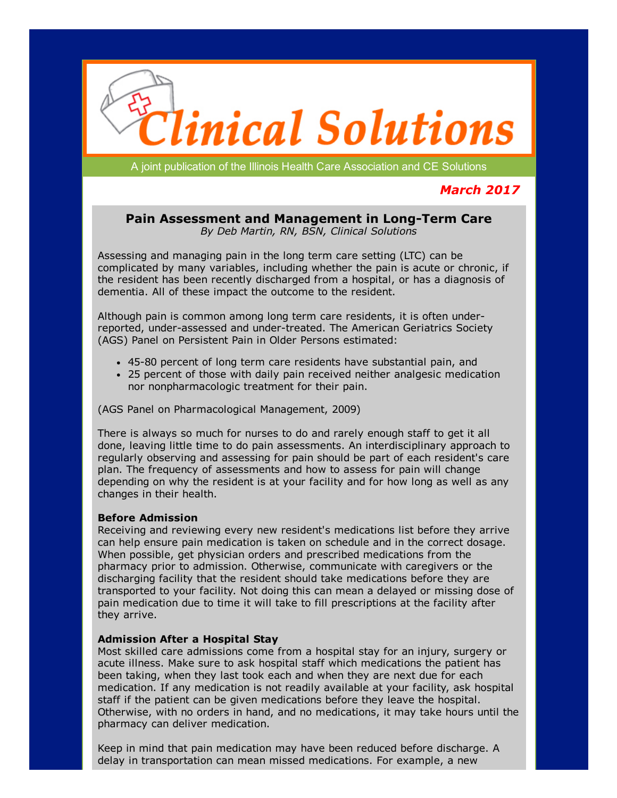

A joint publication of the Illinois Health Care Association and CE Solutions

# March 2017

## Pain Assessment and Management in Long-Term Care By Deb Martin, RN, BSN, Clinical Solutions

Assessing and managing pain in the long term care setting (LTC) can be complicated by many variables, including whether the pain is acute or chronic, if the resident has been recently discharged from a hospital, or has a diagnosis of dementia. All of these impact the outcome to the resident.

Although pain is common among long term care residents, it is often underreported, under-assessed and under-treated. The American Geriatrics Society (AGS) Panel on Persistent Pain in Older Persons estimated:

- 4580 percent of long term care residents have substantial pain, and
- 25 percent of those with daily pain received neither analgesic medication nor nonpharmacologic treatment for their pain.

(AGS Panel on Pharmacological Management, 2009)

There is always so much for nurses to do and rarely enough staff to get it all done, leaving little time to do pain assessments. An interdisciplinary approach to regularly observing and assessing for pain should be part of each resident's care plan. The frequency of assessments and how to assess for pain will change depending on why the resident is at your facility and for how long as well as any changes in their health.

### Before Admission

Receiving and reviewing every new resident's medications list before they arrive can help ensure pain medication is taken on schedule and in the correct dosage. When possible, get physician orders and prescribed medications from the pharmacy prior to admission. Otherwise, communicate with caregivers or the discharging facility that the resident should take medications before they are transported to your facility. Not doing this can mean a delayed or missing dose of pain medication due to time it will take to fill prescriptions at the facility after they arrive.

### Admission After a Hospital Stay

Most skilled care admissions come from a hospital stay for an injury, surgery or acute illness. Make sure to ask hospital staff which medications the patient has been taking, when they last took each and when they are next due for each medication. If any medication is not readily available at your facility, ask hospital staff if the patient can be given medications before they leave the hospital. Otherwise, with no orders in hand, and no medications, it may take hours until the pharmacy can deliver medication.

Keep in mind that pain medication may have been reduced before discharge. A delay in transportation can mean missed medications. For example, a new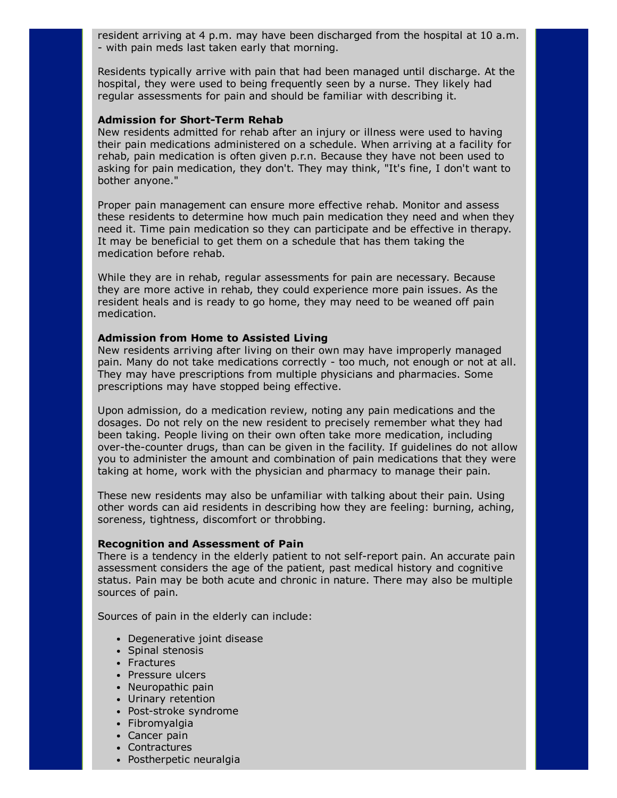resident arriving at 4 p.m. may have been discharged from the hospital at 10 a.m. with pain meds last taken early that morning.

Residents typically arrive with pain that had been managed until discharge. At the hospital, they were used to being frequently seen by a nurse. They likely had regular assessments for pain and should be familiar with describing it.

#### Admission for Short-Term Rehab

New residents admitted for rehab after an injury or illness were used to having their pain medications administered on a schedule. When arriving at a facility for rehab, pain medication is often given p.r.n. Because they have not been used to asking for pain medication, they don't. They may think, "It's fine, I don't want to bother anyone."

Proper pain management can ensure more effective rehab. Monitor and assess these residents to determine how much pain medication they need and when they need it. Time pain medication so they can participate and be effective in therapy. It may be beneficial to get them on a schedule that has them taking the medication before rehab.

While they are in rehab, regular assessments for pain are necessary. Because they are more active in rehab, they could experience more pain issues. As the resident heals and is ready to go home, they may need to be weaned off pain medication.

#### Admission from Home to Assisted Living

New residents arriving after living on their own may have improperly managed pain. Many do not take medications correctly - too much, not enough or not at all. They may have prescriptions from multiple physicians and pharmacies. Some prescriptions may have stopped being effective.

Upon admission, do a medication review, noting any pain medications and the dosages. Do not rely on the new resident to precisely remember what they had been taking. People living on their own often take more medication, including over-the-counter drugs, than can be given in the facility. If guidelines do not allow you to administer the amount and combination of pain medications that they were taking at home, work with the physician and pharmacy to manage their pain.

These new residents may also be unfamiliar with talking about their pain. Using other words can aid residents in describing how they are feeling: burning, aching, soreness, tightness, discomfort or throbbing.

#### Recognition and Assessment of Pain

There is a tendency in the elderly patient to not self-report pain. An accurate pain assessment considers the age of the patient, past medical history and cognitive status. Pain may be both acute and chronic in nature. There may also be multiple sources of pain.

Sources of pain in the elderly can include:

- Degenerative joint disease
- Spinal stenosis
- Fractures
- Pressure ulcers
- Neuropathic pain
- Urinary retention
- Post-stroke syndrome
- Fibromyalgia
- Cancer pain
- Contractures
- Postherpetic neuralgia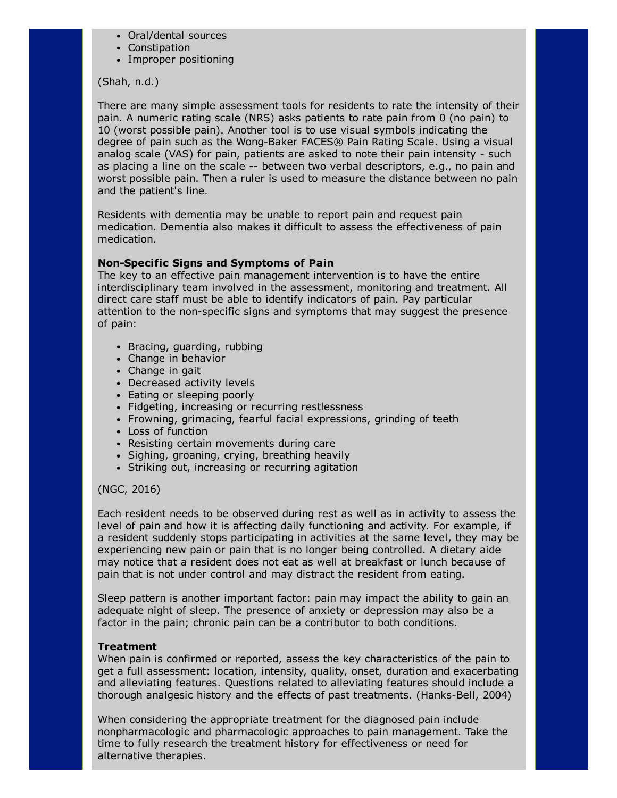- Oral/dental sources
- Constipation
- Improper positioning

## (Shah, n.d.)

There are many simple assessment tools for residents to rate the intensity of their pain. A numeric rating scale (NRS) asks patients to rate pain from 0 (no pain) to 10 (worst possible pain). Another tool is to use visual symbols indicating the degree of pain such as the Wong-Baker FACES® Pain Rating Scale. Using a visual analog scale (VAS) for pain, patients are asked to note their pain intensity - such as placing a line on the scale -- between two verbal descriptors, e.g., no pain and worst possible pain. Then a ruler is used to measure the distance between no pain and the patient's line.

Residents with dementia may be unable to report pain and request pain medication. Dementia also makes it difficult to assess the effectiveness of pain medication.

## Non-Specific Signs and Symptoms of Pain

The key to an effective pain management intervention is to have the entire interdisciplinary team involved in the assessment, monitoring and treatment. All direct care staff must be able to identify indicators of pain. Pay particular attention to the non-specific signs and symptoms that may suggest the presence of pain:

- Bracing, guarding, rubbing
- Change in behavior
- Change in gait
- Decreased activity levels
- Eating or sleeping poorly
- Fidgeting, increasing or recurring restlessness
- Frowning, grimacing, fearful facial expressions, grinding of teeth
- Loss of function
- Resisting certain movements during care
- Sighing, groaning, crying, breathing heavily
- Striking out, increasing or recurring agitation

## (NGC, 2016)

Each resident needs to be observed during rest as well as in activity to assess the level of pain and how it is affecting daily functioning and activity. For example, if a resident suddenly stops participating in activities at the same level, they may be experiencing new pain or pain that is no longer being controlled. A dietary aide may notice that a resident does not eat as well at breakfast or lunch because of pain that is not under control and may distract the resident from eating.

Sleep pattern is another important factor: pain may impact the ability to gain an adequate night of sleep. The presence of anxiety or depression may also be a factor in the pain; chronic pain can be a contributor to both conditions.

### **Treatment**

When pain is confirmed or reported, assess the key characteristics of the pain to get a full assessment: location, intensity, quality, onset, duration and exacerbating and alleviating features. Questions related to alleviating features should include a thorough analgesic history and the effects of past treatments. (Hanks-Bell, 2004)

When considering the appropriate treatment for the diagnosed pain include nonpharmacologic and pharmacologic approaches to pain management. Take the time to fully research the treatment history for effectiveness or need for alternative therapies.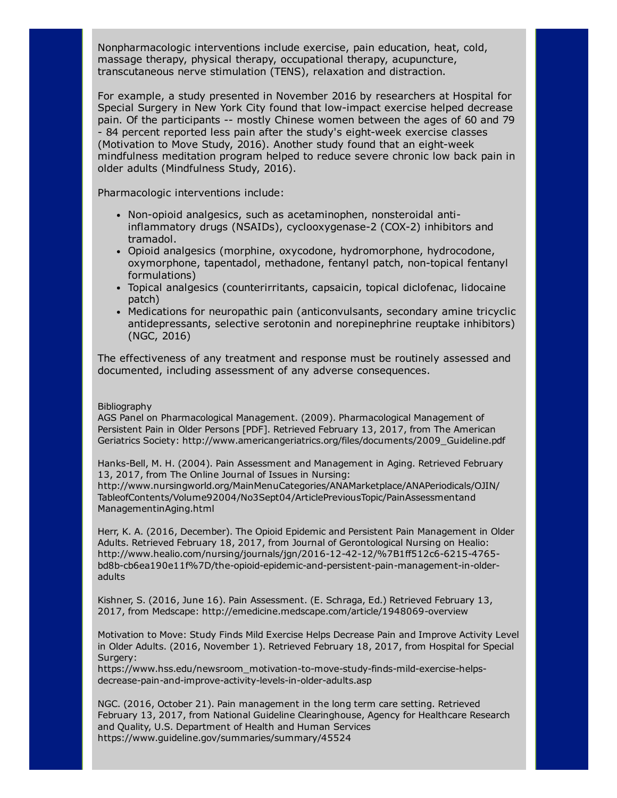Nonpharmacologic interventions include exercise, pain education, heat, cold, massage therapy, physical therapy, occupational therapy, acupuncture, transcutaneous nerve stimulation (TENS), relaxation and distraction.

For example, a study presented in November 2016 by researchers at Hospital for Special Surgery in New York City found that low-impact exercise helped decrease pain. Of the participants -- mostly Chinese women between the ages of 60 and 79 - 84 percent reported less pain after the study's eight-week exercise classes (Motivation to Move Study, 2016). Another study found that an eight-week mindfulness meditation program helped to reduce severe chronic low back pain in older adults (Mindfulness Study, 2016).

Pharmacologic interventions include:

- Non-opioid analgesics, such as acetaminophen, nonsteroidal antiinflammatory drugs (NSAIDs), cyclooxygenase-2 (COX-2) inhibitors and tramadol.
- Opioid analgesics (morphine, oxycodone, hydromorphone, hydrocodone, oxymorphone, tapentadol, methadone, fentanyl patch, non-topical fentanyl formulations)
- Topical analgesics (counterirritants, capsaicin, topical diclofenac, lidocaine patch)
- Medications for neuropathic pain (anticonvulsants, secondary amine tricyclic antidepressants, selective serotonin and norepinephrine reuptake inhibitors) (NGC, 2016)

The effectiveness of any treatment and response must be routinely assessed and documented, including assessment of any adverse consequences.

#### Bibliography

AGS Panel on Pharmacological Management. (2009). Pharmacological Management of Persistent Pain in Older Persons [PDF]. Retrieved February 13, 2017, from The American Geriatrics Society: http://www.americangeriatrics.org/files/documents/2009\_Guideline.pdf

Hanks-Bell, M. H. (2004). Pain Assessment and Management in Aging. Retrieved February 13, 2017, from The Online Journal of Issues in Nursing:

http://www.nursingworld.org/MainMenuCategories/ANAMarketplace/ANAPeriodicals/OJIN/ TableofContents/Volume92004/No3Sept04/ArticlePreviousTopic/PainAssessmentand ManagementinAging.html

Herr, K. A. (2016, December). The Opioid Epidemic and Persistent Pain Management in Older Adults. Retrieved February 18, 2017, from Journal of Gerontological Nursing on Healio: http://www.healio.com/nursing/journals/jgn/2016-12-42-12/%7B1ff512c6-6215-4765bd8b-cb6ea190e11f%7D/the-opioid-epidemic-and-persistent-pain-management-in-olderadults

Kishner, S. (2016, June 16). Pain Assessment. (E. Schraga, Ed.) Retrieved February 13, 2017, from Medscape: http://emedicine.medscape.com/article/1948069-overview

Motivation to Move: Study Finds Mild Exercise Helps Decrease Pain and Improve Activity Level in Older Adults. (2016, November 1). Retrieved February 18, 2017, from Hospital for Special Surgery:

https://www.hss.edu/newsroom\_motivation-to-move-study-finds-mild-exercise-helpsdecrease-pain-and-improve-activity-levels-in-older-adults.asp

NGC. (2016, October 21). Pain management in the long term care setting. Retrieved February 13, 2017, from National Guideline Clearinghouse, Agency for Healthcare Research and Quality, U.S. Department of Health and Human Services https://www.guideline.gov/summaries/summary/45524